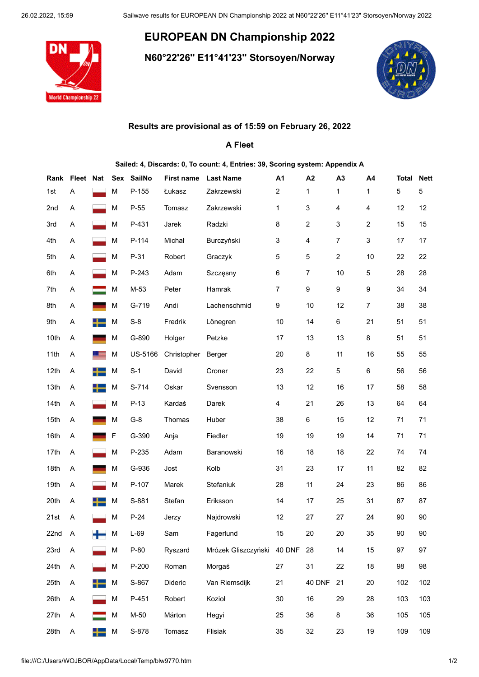## **EUROPEAN DN Championship 2022**

**N60°22'26'' E11°41'23" Storsoyen/Norway**



## **Results are provisional as of 15:59 on February 26, 2022**

## **A Fleet**

| Sailed: 4, Discards: 0, To count: 4, Entries: 39, Scoring system: Appendix A |                |                  |   |            |                      |                     |        |                |                |                         |                   |     |
|------------------------------------------------------------------------------|----------------|------------------|---|------------|----------------------|---------------------|--------|----------------|----------------|-------------------------|-------------------|-----|
|                                                                              | Rank Fleet Nat |                  |   | Sex SailNo | First name Last Name |                     | A1     | A <sub>2</sub> | A <sub>3</sub> | A4                      | <b>Total Nett</b> |     |
| 1st                                                                          | Α              |                  | M | P-155      | Łukasz               | Zakrzewski          | 2      | 1              | 1              | 1                       | 5                 | 5   |
| 2nd                                                                          | Α              |                  | М | $P-55$     | Tomasz               | Zakrzewski          | 1      | 3              | 4              | 4                       | 12                | 12  |
| 3rd                                                                          | Α              |                  | М | P-431      | Jarek                | Radzki              | 8      | 2              | 3              | $\overline{\mathbf{c}}$ | 15                | 15  |
| 4th                                                                          | Α              |                  | М | P-114      | Michał               | Burczyński          | 3      | 4              | $\overline{7}$ | 3                       | 17                | 17  |
| 5th                                                                          | Α              |                  | М | P-31       | Robert               | Graczyk             | 5      | 5              | $\overline{c}$ | 10                      | 22                | 22  |
| 6th                                                                          | Α              |                  | М | P-243      | Adam                 | Szczęsny            | 6      | 7              | 10             | 5                       | 28                | 28  |
| 7th                                                                          | Α              |                  | М | M-53       | Peter                | Hamrak              | 7      | 9              | 9              | 9                       | 34                | 34  |
| 8th                                                                          | Α              |                  | М | G-719      | Andi                 | Lachenschmid        | 9      | 10             | 12             | 7                       | 38                | 38  |
| 9th                                                                          | Α              |                  | M | $S-8$      | Fredrik              | Lönegren            | 10     | 14             | 6              | 21                      | 51                | 51  |
| 10th                                                                         | Α              |                  | M | G-890      | Holger               | Petzke              | 17     | 13             | 13             | 8                       | 51                | 51  |
| 11th                                                                         | Α              |                  | М | US-5166    | Christopher          | Berger              | 20     | 8              | 11             | 16                      | 55                | 55  |
| 12th                                                                         | Α              |                  | М | $S-1$      | David                | Croner              | 23     | 22             | 5              | 6                       | 56                | 56  |
| 13th                                                                         | Α              |                  | M | S-714      | Oskar                | Svensson            | 13     | 12             | 16             | 17                      | 58                | 58  |
| 14th                                                                         | Α              |                  | М | $P-13$     | Kardaś               | Darek               | 4      | 21             | 26             | 13                      | 64                | 64  |
| 15th                                                                         | Α              |                  | M | $G-8$      | Thomas               | Huber               | 38     | 6              | 15             | 12                      | 71                | 71  |
| 16th                                                                         | Α              |                  | F | G-390      | Anja                 | Fiedler             | 19     | 19             | 19             | 14                      | 71                | 71  |
| 17th                                                                         | Α              |                  | M | P-235      | Adam                 | Baranowski          | 16     | 18             | 18             | 22                      | 74                | 74  |
| 18th                                                                         | Α              |                  | М | G-936      | Jost                 | Kolb                | 31     | 23             | 17             | 11                      | 82                | 82  |
| 19th                                                                         | Α              |                  | М | P-107      | Marek                | Stefaniuk           | 28     | 11             | 24             | 23                      | 86                | 86  |
| 20th                                                                         | Α              |                  | M | S-881      | Stefan               | Eriksson            | 14     | 17             | 25             | 31                      | 87                | 87  |
| 21st                                                                         | A              |                  | М | $P-24$     | Jerzy                | Najdrowski          | 12     | 27             | 27             | 24                      | 90                | 90  |
| 22nd                                                                         | Α              |                  | М | L-69       | Sam                  | Fagerlund           | 15     | 20             | 20             | 35                      | 90                | 90  |
| 23rd                                                                         | Α              |                  | М | P-80       | Ryszard              | Mrózek Gliszczyński | 40 DNF | 28             | 14             | 15                      | 97                | 97  |
| 24th                                                                         | Α              |                  | М | P-200      | Roman                | Morgaś              | 27     | 31             | 22             | 18                      | 98                | 98  |
| 25th                                                                         | Α              |                  | М | S-867      | Dideric              | Van Riemsdijk       | 21     | 40 DNF         | 21             | 20                      | 102               | 102 |
| 26th                                                                         | Α              |                  | М | P-451      | Robert               | Kozioł              | 30     | 16             | 29             | 28                      | 103               | 103 |
| 27th                                                                         | Α              |                  | М | M-50       | Márton               | Hegyi               | 25     | 36             | 8              | 36                      | 105               | 105 |
| 28th                                                                         | Α              | $\blacksquare$ M |   | S-878      | Tomasz               | Flisiak             | 35     | 32             | 23             | 19                      | 109               | 109 |